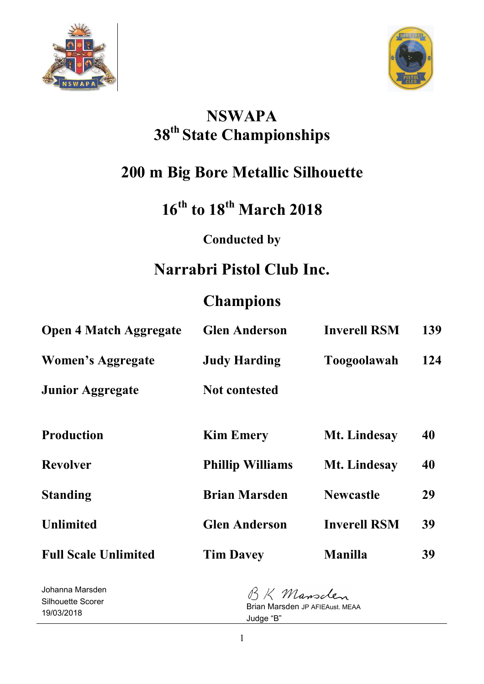



## **NSWAPA 38th State Championships**

## **200 m Big Bore Metallic Silhouette**

# **16th to 18th March 2018**

## **Conducted by**

## **Narrabri Pistol Club Inc.**

## **Champions**

| <b>Open 4 Match Aggregate</b> | <b>Glen Anderson</b>    | <b>Inverell RSM</b> | 139 |
|-------------------------------|-------------------------|---------------------|-----|
| Women's Aggregate             | <b>Judy Harding</b>     | Toogoolawah         | 124 |
| <b>Junior Aggregate</b>       | <b>Not contested</b>    |                     |     |
| <b>Production</b>             | <b>Kim Emery</b>        | Mt. Lindesay        | 40  |
| <b>Revolver</b>               | <b>Phillip Williams</b> | Mt. Lindesay        | 40  |
| <b>Standing</b>               | <b>Brian Marsden</b>    | <b>Newcastle</b>    | 29  |
| <b>Unlimited</b>              | <b>Glen Anderson</b>    | <b>Inverell RSM</b> | 39  |
| <b>Full Scale Unlimited</b>   | <b>Tim Davey</b>        | <b>Manilla</b>      | 39  |
|                               |                         |                     |     |

Johanna Marsden Silhouette Scorer 19/03/2018

BK Mansclen Brian Marsden JP AFIEAust. MEAA Judge "B"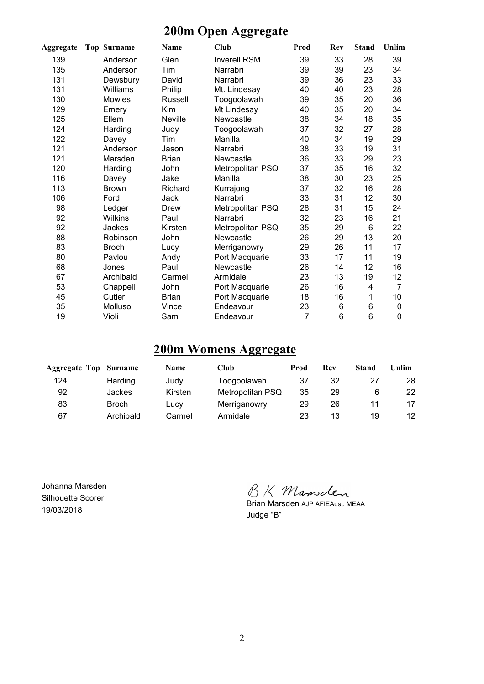## **200m Open Aggregate**

| Aggregate | <b>Top Surname</b> | Name           | Club                | Prod | <b>Rev</b> | <b>Stand</b> | Unlim           |
|-----------|--------------------|----------------|---------------------|------|------------|--------------|-----------------|
| 139       | Anderson           | Glen           | <b>Inverell RSM</b> | 39   | 33         | 28           | 39              |
| 135       | Anderson           | Tim            | Narrabri            | 39   | 39         | 23           | 34              |
| 131       | Dewsbury           | David          | Narrabri            | 39   | 36         | 23           | 33              |
| 131       | Williams           | Philip         | Mt. Lindesay        | 40   | 40         | 23           | 28              |
| 130       | Mowles             | Russell        | Toogoolawah         | 39   | 35         | 20           | 36              |
| 129       | Emery              | Kim            | Mt Lindesay         | 40   | 35         | 20           | 34              |
| 125       | Ellem              | <b>Neville</b> | Newcastle           | 38   | 34         | 18           | 35              |
| 124       | Harding            | Judy           | Toogoolawah         | 37   | 32         | 27           | 28              |
| 122       | Davey              | Tim            | Manilla             | 40   | 34         | 19           | 29              |
| 121       | Anderson           | Jason          | Narrabri            | 38   | 33         | 19           | 31              |
| 121       | Marsden            | <b>Brian</b>   | Newcastle           | 36   | 33         | 29           | 23              |
| 120       | Harding            | John           | Metropolitan PSQ    | 37   | 35         | 16           | 32              |
| 116       | Davey              | Jake           | Manilla             | 38   | 30         | 23           | 25              |
| 113       | <b>Brown</b>       | Richard        | Kurrajong           | 37   | 32         | 16           | 28              |
| 106       | Ford               | Jack           | Narrabri            | 33   | 31         | 12           | 30              |
| 98        | Ledger             | Drew           | Metropolitan PSQ    | 28   | 31         | 15           | 24              |
| 92        | <b>Wilkins</b>     | Paul           | Narrabri            | 32   | 23         | 16           | 21              |
| 92        | Jackes             | Kirsten        | Metropolitan PSQ    | 35   | 29         | 6            | 22              |
| 88        | Robinson           | John           | Newcastle           | 26   | 29         | 13           | 20              |
| 83        | <b>Broch</b>       | Lucy           | Merriganowry        | 29   | 26         | 11           | 17              |
| 80        | Pavlou             | Andy           | Port Macquarie      | 33   | 17         | 11           | 19              |
| 68        | Jones              | Paul           | Newcastle           | 26   | 14         | 12           | 16              |
| 67        | Archibald          | Carmel         | Armidale            | 23   | 13         | 19           | 12              |
| 53        | Chappell           | John           | Port Macquarie      | 26   | 16         | 4            | 7               |
| 45        | Cutler             | <b>Brian</b>   | Port Macquarie      | 18   | 16         | 1            | 10 <sup>1</sup> |
| 35        | Molluso            | Vince          | Endeavour           | 23   | 6          | 6            | 0               |
| 19        | Violi              | Sam            | Endeavour           | 7    | 6          | 6            | 0               |

#### **200m Womens Aggregate**

| <b>Aggregate Top Surname</b> |               | <b>Name</b> | Club             | Prod | Rev | <b>Stand</b> | Unlim |
|------------------------------|---------------|-------------|------------------|------|-----|--------------|-------|
| 124                          | Harding       | Judy        | Toogoolawah      | 37   | 32  |              | 28    |
| 92                           | <b>Jackes</b> | Kirsten     | Metropolitan PSQ | 35   | 29  |              | 22.   |
| 83                           | <b>Broch</b>  | Lucy        | Merriganowry     | 29   | 26  |              | 17    |
| 67                           | Archibald     | Carmel      | Armidale         | 23   | 13  | 19           | 12    |

Johanna Marsden Silhouette Scorer 19/03/2018

BK Mansclen

Brian Marsden AJP AFIEAust. MEAA Judge "B"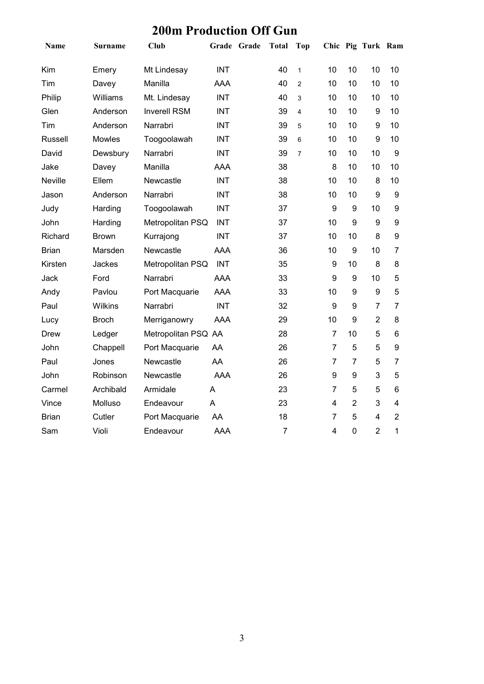## **200m Production Off Gun**

| Name         | <b>Surname</b> | <b>Club</b>         |            | Grade Grade | <b>Total</b>   | <b>Top</b>     |                |                  | Chic Pig Turk Ram |                         |
|--------------|----------------|---------------------|------------|-------------|----------------|----------------|----------------|------------------|-------------------|-------------------------|
| Kim          | Emery          | Mt Lindesay         | <b>INT</b> |             | 40             | $\mathbf{1}$   | 10             | 10               | 10                | 10                      |
| Tim          | Davey          | Manilla             | <b>AAA</b> |             | 40             | $\overline{2}$ | 10             | 10               | 10                | 10                      |
| Philip       | Williams       | Mt. Lindesay        | <b>INT</b> |             | 40             | 3              | 10             | 10               | 10                | 10                      |
| Glen         | Anderson       | <b>Inverell RSM</b> | <b>INT</b> |             | 39             | 4              | 10             | 10               | 9                 | 10                      |
| Tim          | Anderson       | Narrabri            | <b>INT</b> |             | 39             | 5              | 10             | 10               | 9                 | 10                      |
| Russell      | Mowles         | Toogoolawah         | <b>INT</b> |             | 39             | 6              | 10             | 10               | 9                 | 10                      |
| David        | Dewsbury       | Narrabri            | <b>INT</b> |             | 39             | $\overline{7}$ | 10             | 10               | 10                | 9                       |
| Jake         | Davey          | Manilla             | AAA        |             | 38             |                | 8              | 10               | 10                | 10                      |
| Neville      | Ellem          | Newcastle           | <b>INT</b> |             | 38             |                | 10             | 10               | 8                 | 10                      |
| Jason        | Anderson       | Narrabri            | <b>INT</b> |             | 38             |                | 10             | 10               | 9                 | 9                       |
| Judy         | Harding        | Toogoolawah         | <b>INT</b> |             | 37             |                | 9              | $\boldsymbol{9}$ | 10                | $\boldsymbol{9}$        |
| John         | Harding        | Metropolitan PSQ    | <b>INT</b> |             | 37             |                | 10             | 9                | 9                 | 9                       |
| Richard      | <b>Brown</b>   | Kurrajong           | <b>INT</b> |             | 37             |                | 10             | 10               | 8                 | $\boldsymbol{9}$        |
| <b>Brian</b> | Marsden        | Newcastle           | <b>AAA</b> |             | 36             |                | 10             | 9                | 10                | $\overline{7}$          |
| Kirsten      | Jackes         | Metropolitan PSQ    | <b>INT</b> |             | 35             |                | 9              | 10               | 8                 | 8                       |
| Jack         | Ford           | Narrabri            | <b>AAA</b> |             | 33             |                | 9              | 9                | 10                | 5                       |
| Andy         | Pavlou         | Port Macquarie      | <b>AAA</b> |             | 33             |                | 10             | 9                | $\boldsymbol{9}$  | 5                       |
| Paul         | Wilkins        | Narrabri            | <b>INT</b> |             | 32             |                | 9              | 9                | $\overline{7}$    | $\overline{7}$          |
| Lucy         | <b>Broch</b>   | Merriganowry        | <b>AAA</b> |             | 29             |                | 10             | $\boldsymbol{9}$ | $\overline{2}$    | 8                       |
| Drew         | Ledger         | Metropolitan PSQ AA |            |             | 28             |                | $\overline{7}$ | 10               | 5                 | 6                       |
| John         | Chappell       | Port Macquarie      | AA         |             | 26             |                | $\overline{7}$ | 5                | 5                 | $\boldsymbol{9}$        |
| Paul         | Jones          | Newcastle           | AA         |             | 26             |                | $\overline{7}$ | $\overline{7}$   | 5                 | $\overline{7}$          |
| John         | Robinson       | Newcastle           | <b>AAA</b> |             | 26             |                | 9              | 9                | 3                 | 5                       |
| Carmel       | Archibald      | Armidale            | A          |             | 23             |                | 7              | 5                | 5                 | 6                       |
| Vince        | Molluso        | Endeavour           | A          |             | 23             |                | 4              | $\overline{2}$   | 3                 | $\overline{\mathbf{4}}$ |
| <b>Brian</b> | Cutler         | Port Macquarie      | AA         |             | 18             |                | $\overline{7}$ | 5                | 4                 | $\overline{2}$          |
| Sam          | Violi          | Endeavour           | <b>AAA</b> |             | $\overline{7}$ |                | 4              | $\mathbf 0$      | $\overline{2}$    | 1                       |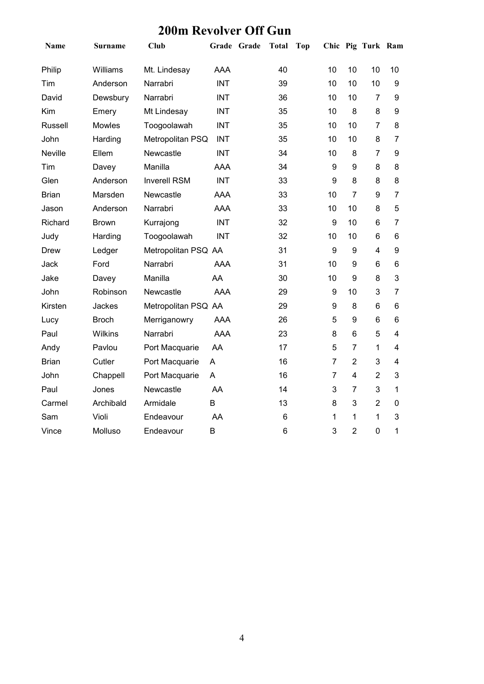| Name           | Surname        | <b>Club</b>         |            | Grade Grade | <b>Total</b>   | Top |                  |                  | Chic Pig Turk Ram |                  |
|----------------|----------------|---------------------|------------|-------------|----------------|-----|------------------|------------------|-------------------|------------------|
| Philip         | Williams       | Mt. Lindesay        | <b>AAA</b> |             | 40             |     | 10               | 10               | 10                | 10               |
| Tim            | Anderson       | Narrabri            | <b>INT</b> |             | 39             |     | 10               | 10               | 10                | $\boldsymbol{9}$ |
| David          | Dewsbury       | Narrabri            | <b>INT</b> |             | 36             |     | 10               | 10               | 7                 | 9                |
| Kim            | Emery          | Mt Lindesay         | <b>INT</b> |             | 35             |     | 10               | 8                | 8                 | 9                |
| <b>Russell</b> | Mowles         | Toogoolawah         | <b>INT</b> |             | 35             |     | 10               | 10               | $\overline{7}$    | 8                |
| John           | Harding        | Metropolitan PSQ    | <b>INT</b> |             | 35             |     | 10               | 10               | 8                 | $\overline{7}$   |
| Neville        | Ellem          | Newcastle           | <b>INT</b> |             | 34             |     | 10               | 8                | $\overline{7}$    | 9                |
| Tim            | Davey          | Manilla             | <b>AAA</b> |             | 34             |     | 9                | 9                | 8                 | 8                |
| Glen           | Anderson       | <b>Inverell RSM</b> | <b>INT</b> |             | 33             |     | 9                | 8                | 8                 | 8                |
| <b>Brian</b>   | Marsden        | Newcastle           | <b>AAA</b> |             | 33             |     | 10               | $\overline{7}$   | 9                 | $\overline{7}$   |
| Jason          | Anderson       | Narrabri            | AAA        |             | 33             |     | 10               | 10               | 8                 | 5                |
| Richard        | <b>Brown</b>   | Kurrajong           | <b>INT</b> |             | 32             |     | 9                | 10               | 6                 | 7                |
| Judy           | Harding        | Toogoolawah         | <b>INT</b> |             | 32             |     | 10               | 10               | 6                 | 6                |
| <b>Drew</b>    | Ledger         | Metropolitan PSQ AA |            |             | 31             |     | $\boldsymbol{9}$ | 9                | 4                 | 9                |
| Jack           | Ford           | Narrabri            | <b>AAA</b> |             | 31             |     | 10               | 9                | 6                 | 6                |
| Jake           | Davey          | Manilla             | AA         |             | 30             |     | 10               | 9                | 8                 | 3                |
| John           | Robinson       | Newcastle           | <b>AAA</b> |             | 29             |     | 9                | 10               | 3                 | 7                |
| Kirsten        | Jackes         | Metropolitan PSQ AA |            |             | 29             |     | 9                | 8                | 6                 | 6                |
| Lucy           | <b>Broch</b>   | Merriganowry        | <b>AAA</b> |             | 26             |     | 5                | $\boldsymbol{9}$ | 6                 | 6                |
| Paul           | <b>Wilkins</b> | Narrabri            | <b>AAA</b> |             | 23             |     | 8                | $6\phantom{1}$   | 5                 | $\overline{4}$   |
| Andy           | Pavlou         | Port Macquarie      | AA         |             | 17             |     | 5                | $\overline{7}$   | 1                 | 4                |
| <b>Brian</b>   | Cutler         | Port Macquarie      | A          |             | 16             |     | $\overline{7}$   | $\overline{2}$   | 3                 | $\overline{4}$   |
| John           | Chappell       | Port Macquarie      | A          |             | 16             |     | $\overline{7}$   | 4                | $\overline{2}$    | 3                |
| Paul           | Jones          | Newcastle           | AA         |             | 14             |     | 3                | $\overline{7}$   | 3                 | $\mathbf{1}$     |
| Carmel         | Archibald      | Armidale            | B          |             | 13             |     | 8                | 3                | $\overline{2}$    | $\mathbf 0$      |
| Sam            | Violi          | Endeavour           | AA         |             | 6              |     | 1                | 1                | 1                 | 3                |
| Vince          | Molluso        | Endeavour           | B          |             | $6\phantom{1}$ |     | 3                | $\overline{2}$   | $\mathbf 0$       | 1                |

#### **200m Revolver Off Gun**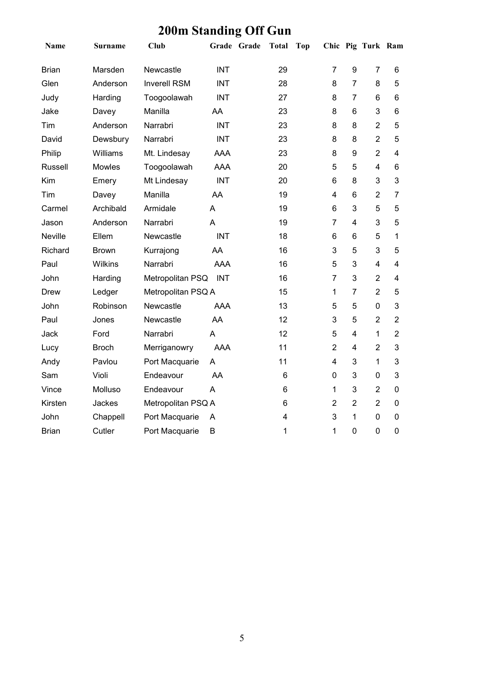| Name           | <b>Surname</b> | <b>Club</b>         | Grade Grade | <b>Total</b> | Top |                |                | Chic Pig Turk Ram |                         |
|----------------|----------------|---------------------|-------------|--------------|-----|----------------|----------------|-------------------|-------------------------|
| <b>Brian</b>   | Marsden        | Newcastle           | <b>INT</b>  | 29           |     | $\overline{7}$ | 9              | $\overline{7}$    | 6                       |
| Glen           | Anderson       | <b>Inverell RSM</b> | <b>INT</b>  | 28           |     | 8              | $\overline{7}$ | 8                 | 5                       |
| Judy           | Harding        | Toogoolawah         | <b>INT</b>  | 27           |     | 8              | $\overline{7}$ | 6                 | 6                       |
| Jake           | Davey          | Manilla             | AA          | 23           |     | 8              | 6              | 3                 | 6                       |
| Tim            | Anderson       | Narrabri            | <b>INT</b>  | 23           |     | 8              | 8              | $\overline{2}$    | 5                       |
| David          | Dewsbury       | Narrabri            | <b>INT</b>  | 23           |     | 8              | 8              | $\overline{2}$    | 5                       |
| Philip         | Williams       | Mt. Lindesay        | <b>AAA</b>  | 23           |     | 8              | 9              | $\overline{2}$    | 4                       |
| <b>Russell</b> | Mowles         | Toogoolawah         | <b>AAA</b>  | 20           |     | 5              | 5              | 4                 | 6                       |
| Kim            | Emery          | Mt Lindesay         | <b>INT</b>  | 20           |     | $6\phantom{1}$ | 8              | 3                 | 3                       |
| Tim            | Davey          | Manilla             | AA          | 19           |     | 4              | 6              | $\overline{2}$    | $\overline{7}$          |
| Carmel         | Archibald      | Armidale            | A           | 19           |     | $6\phantom{1}$ | 3              | 5                 | 5                       |
| Jason          | Anderson       | Narrabri            | A           | 19           |     | $\overline{7}$ | 4              | 3                 | 5                       |
| Neville        | Ellem          | Newcastle           | <b>INT</b>  | 18           |     | 6              | 6              | 5                 | 1                       |
| Richard        | <b>Brown</b>   | Kurrajong           | AA          | 16           |     | 3              | 5              | 3                 | 5                       |
| Paul           | Wilkins        | Narrabri            | <b>AAA</b>  | 16           |     | 5              | 3              | 4                 | $\overline{4}$          |
| John           | Harding        | Metropolitan PSQ    | <b>INT</b>  | 16           |     | $\overline{7}$ | 3              | $\overline{2}$    | $\overline{\mathbf{4}}$ |
| Drew           | Ledger         | Metropolitan PSQ A  |             | 15           |     | $\mathbf{1}$   | $\overline{7}$ | $\overline{2}$    | 5                       |
| John           | Robinson       | Newcastle           | <b>AAA</b>  | 13           |     | 5              | 5              | 0                 | 3                       |
| Paul           | Jones          | Newcastle           | AA          | 12           |     | 3              | 5              | $\overline{2}$    | $\overline{2}$          |
| Jack           | Ford           | Narrabri            | A           | 12           |     | 5              | 4              | $\mathbf{1}$      | $\overline{2}$          |
| Lucy           | <b>Broch</b>   | Merriganowry        | AAA         | 11           |     | $\overline{2}$ | $\overline{4}$ | $\overline{2}$    | 3                       |
| Andy           | Pavlou         | Port Macquarie      | A           | 11           |     | 4              | 3              | $\mathbf{1}$      | 3                       |
| Sam            | Violi          | Endeavour           | AA          | 6            |     | $\mathbf 0$    | 3              | 0                 | 3                       |
| Vince          | Molluso        | Endeavour           | A           | $\,6$        |     | $\mathbf{1}$   | 3              | $\overline{2}$    | $\overline{0}$          |
| Kirsten        | Jackes         | Metropolitan PSQ A  |             | 6            |     | $\overline{2}$ | $\overline{2}$ | $\overline{2}$    | $\mathbf 0$             |
| John           | Chappell       | Port Macquarie      | A           | 4            |     | 3              | $\mathbf 1$    | 0                 | $\mathbf 0$             |
| <b>Brian</b>   | Cutler         | Port Macquarie      | B           | 1            |     | 1              | $\mathbf 0$    | $\overline{0}$    | $\overline{0}$          |

## **200m Standing Off Gun**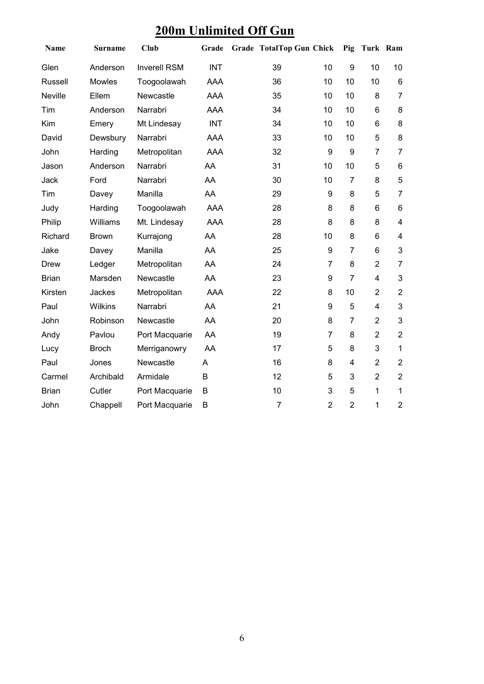## **200m Unlimited Off Gun**

| Name         | Surname       | <b>Club</b>         | Grade      | <b>Grade TotalTop Gun Chick</b> |                  | Pig            | Turk Ram       |                         |
|--------------|---------------|---------------------|------------|---------------------------------|------------------|----------------|----------------|-------------------------|
| Glen         | Anderson      | <b>Inverell RSM</b> | <b>INT</b> | 39                              | 10               | 9              | 10             | 10                      |
| Russell      | <b>Mowles</b> | Toogoolawah         | <b>AAA</b> | 36                              | 10               | 10             | 10             | $6\phantom{1}$          |
| Neville      | Ellem         | Newcastle           | <b>AAA</b> | 35                              | 10               | 10             | 8              | $\overline{7}$          |
| Tim          | Anderson      | Narrabri            | <b>AAA</b> | 34                              | 10               | 10             | 6              | 8                       |
| Kim          | Emery         | Mt Lindesay         | <b>INT</b> | 34                              | 10               | 10             | 6              | 8                       |
| David        | Dewsbury      | Narrabri            | AAA        | 33                              | 10               | 10             | 5              | 8                       |
| John         | Harding       | Metropolitan        | <b>AAA</b> | 32                              | $\boldsymbol{9}$ | 9              | $\overline{7}$ | $\overline{7}$          |
| Jason        | Anderson      | Narrabri            | AA         | 31                              | 10               | 10             | 5              | $6\phantom{1}$          |
| Jack         | Ford          | Narrabri            | AA         | 30                              | 10               | $\overline{7}$ | 8              | 5                       |
| Tim          | Davey         | Manilla             | AA         | 29                              | 9                | 8              | 5              | $\overline{7}$          |
| Judy         | Harding       | Toogoolawah         | <b>AAA</b> | 28                              | 8                | 8              | 6              | $6\phantom{1}$          |
| Philip       | Williams      | Mt. Lindesay        | AAA        | 28                              | 8                | 8              | 8              | $\overline{4}$          |
| Richard      | <b>Brown</b>  | Kurrajong           | AA         | 28                              | 10               | 8              | 6              | $\overline{\mathbf{4}}$ |
| Jake         | Davey         | Manilla             | AA         | 25                              | 9                | $\overline{7}$ | 6              | 3                       |
| <b>Drew</b>  | Ledger        | Metropolitan        | AA         | 24                              | $\overline{7}$   | 8              | $\overline{2}$ | $\overline{7}$          |
| <b>Brian</b> | Marsden       | Newcastle           | AA         | 23                              | 9                | $\overline{7}$ | 4              | 3                       |
| Kirsten      | Jackes        | Metropolitan        | <b>AAA</b> | 22                              | 8                | 10             | $\overline{2}$ | $\overline{2}$          |
| Paul         | Wilkins       | Narrabri            | AA         | 21                              | 9                | 5              | 4              | 3                       |
| John         | Robinson      | Newcastle           | AA         | 20                              | 8                | $\overline{7}$ | $\overline{2}$ | $\mathbf{3}$            |
| Andy         | Pavlou        | Port Macquarie      | AA         | 19                              | $\overline{7}$   | 8              | $\overline{2}$ | $\overline{2}$          |
| Lucy         | <b>Broch</b>  | Merriganowry        | AA         | 17                              | 5                | 8              | 3              | $\mathbf{1}$            |
| Paul         | Jones         | Newcastle           | Α          | 16                              | 8                | 4              | $\overline{2}$ | $\overline{2}$          |
| Carmel       | Archibald     | Armidale            | B          | 12                              | 5                | 3              | $\overline{2}$ | $\overline{2}$          |
| <b>Brian</b> | Cutler        | Port Macquarie      | B          | 10                              | 3                | 5              | $\mathbf{1}$   | 1                       |
| John         | Chappell      | Port Macquarie      | B          | $\overline{7}$                  | $\overline{2}$   | $\overline{2}$ | 1              | $\overline{2}$          |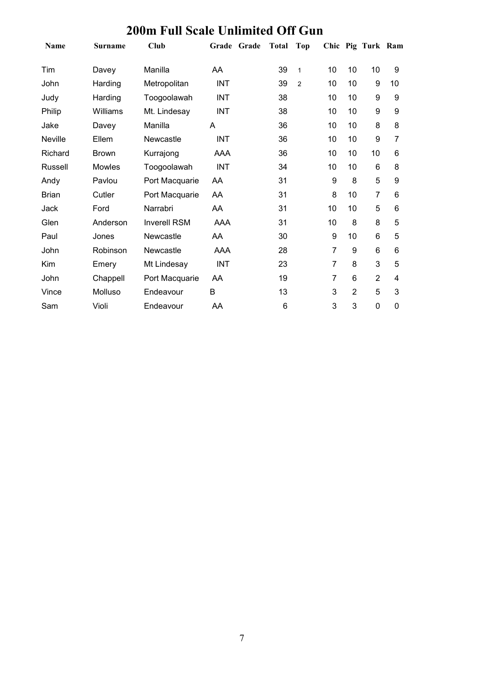| <b>Name</b>    | Surname       | Club                | Grade      | Grade | <b>Total</b> | <b>Top</b>     |                |                | Chic Pig Turk Ram |                |
|----------------|---------------|---------------------|------------|-------|--------------|----------------|----------------|----------------|-------------------|----------------|
| Tim            | Davey         | Manilla             | AA         |       | 39           | $\mathbf{1}$   | 10             | 10             | 10                | 9              |
| John           | Harding       | Metropolitan        | <b>INT</b> |       | 39           | $\overline{2}$ | 10             | 10             | 9                 | 10             |
| Judy           | Harding       | Toogoolawah         | <b>INT</b> |       | 38           |                | 10             | 10             | 9                 | 9              |
| Philip         | Williams      | Mt. Lindesay        | <b>INT</b> |       | 38           |                | 10             | 10             | 9                 | 9              |
| Jake           | Davey         | Manilla             | A          |       | 36           |                | 10             | 10             | 8                 | 8              |
| <b>Neville</b> | Ellem         | Newcastle           | <b>INT</b> |       | 36           |                | 10             | 10             | 9                 | $\overline{7}$ |
| Richard        | Brown         | Kurrajong           | AAA        |       | 36           |                | 10             | 10             | 10                | 6              |
| Russell        | <b>Mowles</b> | Toogoolawah         | <b>INT</b> |       | 34           |                | 10             | 10             | 6                 | 8              |
| Andy           | Pavlou        | Port Macquarie      | AA         |       | 31           |                | 9              | 8              | 5                 | 9              |
| <b>Brian</b>   | Cutler        | Port Macquarie      | AA         |       | 31           |                | 8              | 10             | 7                 | 6              |
| Jack           | Ford          | Narrabri            | AA         |       | 31           |                | 10             | 10             | 5                 | 6              |
| Glen           | Anderson      | <b>Inverell RSM</b> | AAA        |       | 31           |                | 10             | 8              | 8                 | 5              |
| Paul           | Jones         | Newcastle           | AA         |       | 30           |                | 9              | 10             | $6\phantom{1}6$   | 5              |
| John           | Robinson      | Newcastle           | <b>AAA</b> |       | 28           |                | $\overline{7}$ | 9              | 6                 | 6              |
| Kim            | Emery         | Mt Lindesay         | <b>INT</b> |       | 23           |                | $\overline{7}$ | 8              | 3                 | 5              |
| John           | Chappell      | Port Macquarie      | AA         |       | 19           |                | 7              | 6              | $\overline{2}$    | 4              |
| Vince          | Molluso       | Endeavour           | B          |       | 13           |                | 3              | $\overline{2}$ | 5                 | 3              |
| Sam            | Violi         | Endeavour           | AA         |       | 6            |                | 3              | 3              | 0                 | 0              |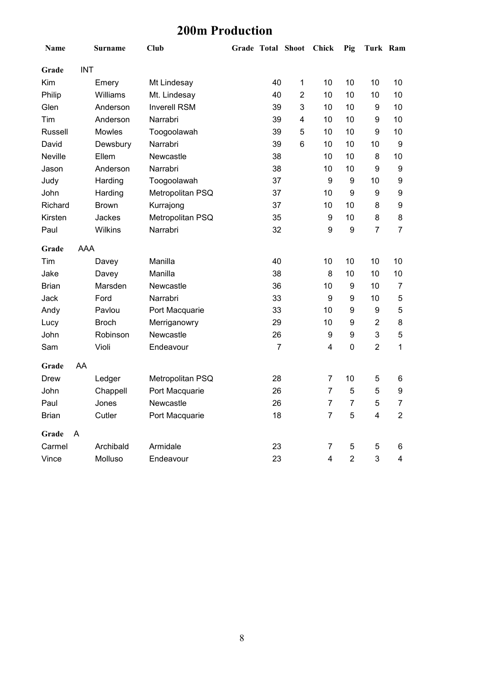### **200m Production**

| Name           |            | <b>Surname</b> | <b>Club</b>         | <b>Grade Total Shoot</b> |                | Chick          | Pig              | Turk Ram         |                  |
|----------------|------------|----------------|---------------------|--------------------------|----------------|----------------|------------------|------------------|------------------|
| Grade          | <b>INT</b> |                |                     |                          |                |                |                  |                  |                  |
| Kim            |            | Emery          | Mt Lindesay         | 40                       | 1              | 10             | 10               | 10               | 10               |
| Philip         |            | Williams       | Mt. Lindesay        | 40                       | $\overline{2}$ | 10             | 10               | 10               | 10               |
| Glen           |            | Anderson       | <b>Inverell RSM</b> | 39                       | 3              | 10             | 10               | 9                | 10               |
| Tim            |            | Anderson       | Narrabri            | 39                       | 4              | 10             | 10               | 9                | 10               |
| <b>Russell</b> |            | Mowles         | Toogoolawah         | 39                       | 5              | 10             | 10               | 9                | 10               |
| David          |            | Dewsbury       | Narrabri            | 39                       | 6              | 10             | 10               | 10               | $\boldsymbol{9}$ |
| Neville        |            | Ellem          | Newcastle           | 38                       |                | 10             | 10               | 8                | 10               |
| Jason          |            | Anderson       | Narrabri            | 38                       |                | 10             | 10               | 9                | $\boldsymbol{9}$ |
| Judy           |            | Harding        | Toogoolawah         | 37                       |                | 9              | 9                | 10               | 9                |
| John           |            | Harding        | Metropolitan PSQ    | 37                       |                | 10             | 9                | 9                | 9                |
| Richard        |            | <b>Brown</b>   | Kurrajong           | 37                       |                | 10             | 10               | 8                | 9                |
| Kirsten        |            | Jackes         | Metropolitan PSQ    | 35                       |                | 9              | 10               | 8                | 8                |
| Paul           |            | Wilkins        | Narrabri            | 32                       |                | 9              | $\boldsymbol{9}$ | $\overline{7}$   | $\overline{7}$   |
| Grade          | AAA        |                |                     |                          |                |                |                  |                  |                  |
| Tim            |            | Davey          | Manilla             | 40                       |                | 10             | 10               | 10               | 10               |
| Jake           |            | Davey          | Manilla             | 38                       |                | 8              | 10               | 10               | 10               |
| <b>Brian</b>   |            | Marsden        | Newcastle           | 36                       |                | 10             | $\boldsymbol{9}$ | 10               | $\overline{7}$   |
| Jack           |            | Ford           | Narrabri            | 33                       |                | 9              | $\boldsymbol{9}$ | 10               | 5                |
| Andy           |            | Pavlou         | Port Macquarie      | 33                       |                | 10             | $\boldsymbol{9}$ | $\boldsymbol{9}$ | 5                |
| Lucy           |            | <b>Broch</b>   | Merriganowry        | 29                       |                | 10             | 9                | $\overline{2}$   | 8                |
| John           |            | Robinson       | Newcastle           | 26                       |                | 9              | 9                | 3                | 5                |
| Sam            |            | Violi          | Endeavour           | $\overline{7}$           |                | 4              | $\mathbf 0$      | $\overline{2}$   | $\mathbf{1}$     |
| Grade          | AA         |                |                     |                          |                |                |                  |                  |                  |
| Drew           |            | Ledger         | Metropolitan PSQ    | 28                       |                | $\overline{7}$ | 10               | 5                | 6                |
| John           |            | Chappell       | Port Macquarie      | 26                       |                | $\overline{7}$ | 5                | 5                | 9                |
| Paul           |            | Jones          | Newcastle           | 26                       |                | 7              | $\overline{7}$   | $\sqrt{5}$       | $\overline{7}$   |
| <b>Brian</b>   |            | Cutler         | Port Macquarie      | 18                       |                | 7              | 5                | $\overline{4}$   | $\overline{2}$   |
| Grade          | A          |                |                     |                          |                |                |                  |                  |                  |
| Carmel         |            | Archibald      | Armidale            | 23                       |                | 7              | 5                | 5                | 6                |
| Vince          |            | Molluso        | Endeavour           | 23                       |                | $\overline{4}$ | $\overline{2}$   | 3                | 4                |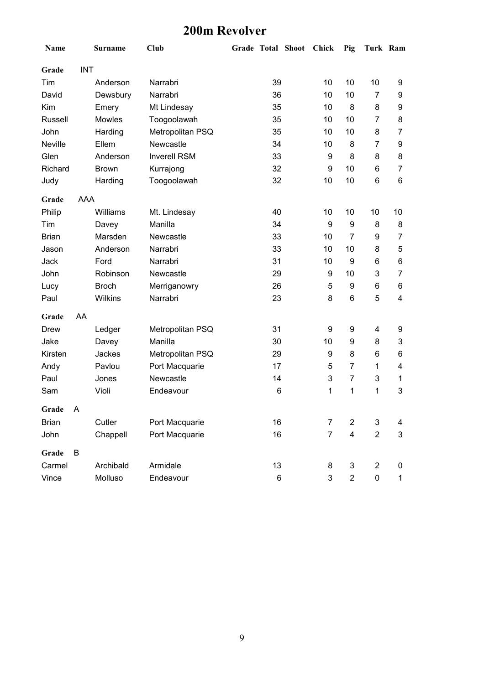### **200m Revolver**

| Name           |            | <b>Surname</b> | Club                |    | Grade Total Shoot | <b>Chick</b>   | Pig                       | Turk Ram       |                |
|----------------|------------|----------------|---------------------|----|-------------------|----------------|---------------------------|----------------|----------------|
| Grade          | <b>INT</b> |                |                     |    |                   |                |                           |                |                |
| Tim            |            | Anderson       | Narrabri            | 39 |                   | 10             | 10                        | 10             | 9              |
| David          |            | Dewsbury       | Narrabri            | 36 |                   | 10             | 10                        | $\overline{7}$ | 9              |
| Kim            |            | Emery          | Mt Lindesay         | 35 |                   | 10             | 8                         | 8              | 9              |
| <b>Russell</b> |            | Mowles         | Toogoolawah         | 35 |                   | 10             | 10                        | $\overline{7}$ | 8              |
| John           |            | Harding        | Metropolitan PSQ    | 35 |                   | 10             | 10                        | 8              | $\overline{7}$ |
| Neville        |            | Ellem          | Newcastle           | 34 |                   | 10             | 8                         | $\overline{7}$ | 9              |
| Glen           |            | Anderson       | <b>Inverell RSM</b> | 33 |                   | 9              | 8                         | 8              | 8              |
| Richard        |            | <b>Brown</b>   | Kurrajong           | 32 |                   | 9              | 10                        | 6              | $\overline{7}$ |
| Judy           |            | Harding        | Toogoolawah         | 32 |                   | 10             | 10                        | 6              | 6              |
| Grade          | AAA        |                |                     |    |                   |                |                           |                |                |
| Philip         |            | Williams       | Mt. Lindesay        | 40 |                   | 10             | 10                        | 10             | 10             |
| Tim            |            | Davey          | Manilla             | 34 |                   | 9              | $\boldsymbol{9}$          | 8              | 8              |
| <b>Brian</b>   |            | Marsden        | Newcastle           | 33 |                   | 10             | $\overline{7}$            | 9              | $\overline{7}$ |
| Jason          |            | Anderson       | Narrabri            | 33 |                   | 10             | 10                        | 8              | 5              |
| Jack           |            | Ford           | Narrabri            | 31 |                   | 10             | 9                         | 6              | 6              |
| John           |            | Robinson       | Newcastle           | 29 |                   | 9              | 10                        | 3              | $\overline{7}$ |
| Lucy           |            | <b>Broch</b>   | Merriganowry        | 26 |                   | 5              | 9                         | 6              | 6              |
| Paul           |            | Wilkins        | Narrabri            | 23 |                   | 8              | $6\phantom{1}6$           | 5              | 4              |
| Grade          | AA         |                |                     |    |                   |                |                           |                |                |
| Drew           |            | Ledger         | Metropolitan PSQ    | 31 |                   | 9              | 9                         | 4              | 9              |
| Jake           |            | Davey          | Manilla             | 30 |                   | 10             | 9                         | 8              | 3              |
| Kirsten        |            | Jackes         | Metropolitan PSQ    | 29 |                   | 9              | 8                         | 6              | 6              |
| Andy           |            | Pavlou         | Port Macquarie      | 17 |                   | 5              | $\overline{7}$            | 1              | 4              |
| Paul           |            | Jones          | Newcastle           | 14 |                   | 3              | $\overline{7}$            | 3              | 1              |
| Sam            |            | Violi          | Endeavour           | 6  |                   | 1              | 1                         | 1              | 3              |
| Grade          | A          |                |                     |    |                   |                |                           |                |                |
| <b>Brian</b>   |            | Cutler         | Port Macquarie      | 16 |                   | 7              | $\overline{2}$            | 3              | 4              |
| John           |            | Chappell       | Port Macquarie      | 16 |                   | $\overline{7}$ | $\overline{\mathbf{4}}$   | $\overline{2}$ | $\mathsf 3$    |
| Grade          | B          |                |                     |    |                   |                |                           |                |                |
| Carmel         |            | Archibald      | Armidale            | 13 |                   | 8              | $\ensuremath{\mathsf{3}}$ | $\overline{2}$ | 0              |
| Vince          |            | Molluso        | Endeavour           | 6  |                   | 3              | $\overline{2}$            | $\pmb{0}$      | $\mathbf{1}$   |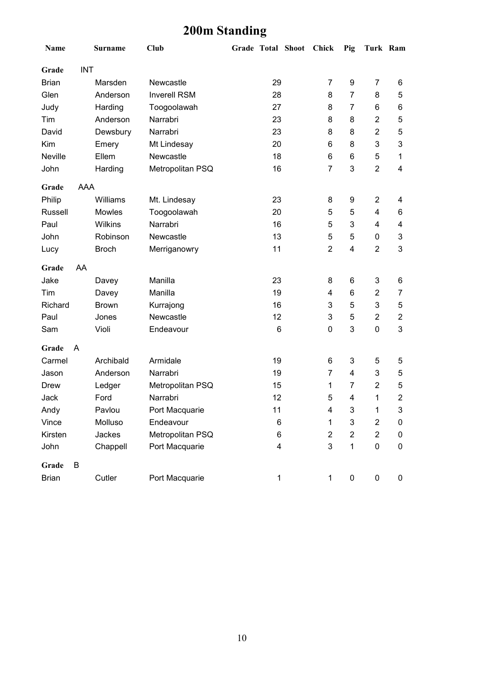## **200m Standing**

| Name           |            | <b>Surname</b> | <b>Club</b>         |              | Grade Total Shoot Chick |                | Pig                       | Turk Ram                |                |
|----------------|------------|----------------|---------------------|--------------|-------------------------|----------------|---------------------------|-------------------------|----------------|
| Grade          | <b>INT</b> |                |                     |              |                         |                |                           |                         |                |
| <b>Brian</b>   |            | Marsden        | Newcastle           | 29           |                         | $\overline{7}$ | 9                         | 7                       | 6              |
| Glen           |            | Anderson       | <b>Inverell RSM</b> | 28           |                         | 8              | $\overline{7}$            | 8                       | 5              |
| Judy           |            | Harding        | Toogoolawah         | 27           |                         | 8              | 7                         | 6                       | 6              |
| Tim            |            | Anderson       | Narrabri            | 23           |                         | 8              | 8                         | $\overline{\mathbf{c}}$ | 5              |
| David          |            | Dewsbury       | Narrabri            | 23           |                         | 8              | 8                         | $\overline{2}$          | 5              |
| Kim            |            | Emery          | Mt Lindesay         | 20           |                         | 6              | 8                         | 3                       | 3              |
| Neville        |            | Ellem          | Newcastle           | 18           |                         | 6              | 6                         | 5                       | 1              |
| John           |            | Harding        | Metropolitan PSQ    | 16           |                         | $\overline{7}$ | 3                         | $\overline{2}$          | 4              |
| Grade          | <b>AAA</b> |                |                     |              |                         |                |                           |                         |                |
| Philip         |            | Williams       | Mt. Lindesay        | 23           |                         | 8              | 9                         | $\overline{2}$          | 4              |
| <b>Russell</b> |            | Mowles         | Toogoolawah         | 20           |                         | 5              | 5                         | 4                       | 6              |
| Paul           |            | Wilkins        | Narrabri            | 16           |                         | 5              | 3                         | 4                       | 4              |
| <b>John</b>    |            | Robinson       | Newcastle           | 13           |                         | 5              | 5                         | 0                       | 3              |
| Lucy           |            | <b>Broch</b>   | Merriganowry        | 11           |                         | $\overline{2}$ | $\overline{4}$            | $\overline{2}$          | 3              |
| Grade          | AA         |                |                     |              |                         |                |                           |                         |                |
| Jake           |            | Davey          | Manilla             | 23           |                         | 8              | 6                         | 3                       | 6              |
| Tim            |            | Davey          | Manilla             | 19           |                         | 4              | $6\phantom{1}$            | $\overline{2}$          | $\overline{7}$ |
| Richard        |            | <b>Brown</b>   | Kurrajong           | 16           |                         | 3              | 5                         | 3                       | 5              |
| Paul           |            | Jones          | Newcastle           | 12           |                         | 3              | 5                         | $\overline{c}$          | $\overline{2}$ |
| Sam            |            | Violi          | Endeavour           | 6            |                         | $\pmb{0}$      | 3                         | 0                       | 3              |
| Grade          | A          |                |                     |              |                         |                |                           |                         |                |
| Carmel         |            | Archibald      | Armidale            | 19           |                         | 6              | 3                         | 5                       | 5              |
| Jason          |            | Anderson       | Narrabri            | 19           |                         | $\overline{7}$ | 4                         | 3                       | 5              |
| Drew           |            | Ledger         | Metropolitan PSQ    | 15           |                         | 1              | $\overline{7}$            | $\overline{2}$          | 5              |
| Jack           |            | Ford           | Narrabri            | 12           |                         | 5              | 4                         | 1                       | $\overline{c}$ |
| Andy           |            | Pavlou         | Port Macquarie      | 11           |                         | 4              | $\ensuremath{\mathsf{3}}$ | 1                       | 3              |
| Vince          |            | Molluso        | Endeavour           | 6            |                         | 1              | 3                         | $\overline{\mathbf{c}}$ | 0              |
| Kirsten        |            | Jackes         | Metropolitan PSQ    | 6            |                         | $\overline{2}$ | $\overline{2}$            | $\overline{c}$          | 0              |
| John           |            | Chappell       | Port Macquarie      | 4            |                         | 3              | $\mathbf{1}$              | 0                       | 0              |
| Grade          | B          |                |                     |              |                         |                |                           |                         |                |
| <b>Brian</b>   |            | Cutler         | Port Macquarie      | $\mathbf{1}$ |                         | $\mathbf{1}$   | $\pmb{0}$                 | 0                       | 0              |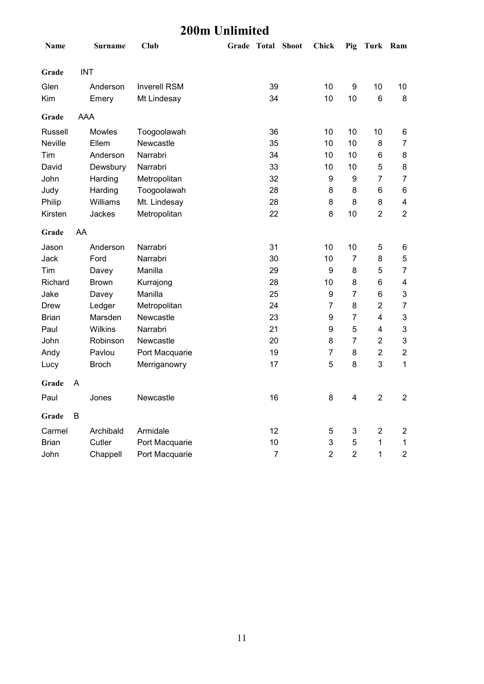#### **200m Unlimited**

| Name         | <b>Surname</b> | Club                | Grade Total Shoot |                | <b>Chick</b>     | Pig                     | Turk Ram                |                         |
|--------------|----------------|---------------------|-------------------|----------------|------------------|-------------------------|-------------------------|-------------------------|
| Grade        | <b>INT</b>     |                     |                   |                |                  |                         |                         |                         |
| Glen         | Anderson       | <b>Inverell RSM</b> |                   | 39             | 10               | $\boldsymbol{9}$        | 10                      | 10                      |
| Kim          | Emery          | Mt Lindesay         |                   | 34             | 10               | 10                      | 6                       | 8                       |
| Grade        | AAA            |                     |                   |                |                  |                         |                         |                         |
| Russell      | <b>Mowles</b>  | Toogoolawah         |                   | 36             | 10               | 10                      | 10                      | 6                       |
| Neville      | Ellem          | Newcastle           |                   | 35             | 10               | 10                      | 8                       | $\overline{7}$          |
| Tim          | Anderson       | Narrabri            |                   | 34             | 10               | 10                      | 6                       | 8                       |
| David        | Dewsbury       | Narrabri            |                   | 33             | 10               | 10                      | 5                       | 8                       |
| John         | Harding        | Metropolitan        |                   | 32             | $\boldsymbol{9}$ | 9                       | $\overline{7}$          | 7                       |
| Judy         | Harding        | Toogoolawah         |                   | 28             | 8                | 8                       | $\,6$                   | 6                       |
| Philip       | Williams       | Mt. Lindesay        |                   | 28             | 8                | 8                       | 8                       | $\overline{\mathbf{4}}$ |
| Kirsten      | Jackes         | Metropolitan        |                   | 22             | $\bf 8$          | 10                      | $\overline{2}$          | $\overline{2}$          |
| Grade        | AA             |                     |                   |                |                  |                         |                         |                         |
| Jason        | Anderson       | Narrabri            |                   | 31             | 10               | 10                      | 5                       | 6                       |
| Jack         | Ford           | Narrabri            |                   | 30             | 10               | $\overline{7}$          | 8                       | 5                       |
| Tim          | Davey          | Manilla             |                   | 29             | $\boldsymbol{9}$ | 8                       | 5                       | $\overline{7}$          |
| Richard      | <b>Brown</b>   | Kurrajong           |                   | 28             | 10               | 8                       | 6                       | 4                       |
| Jake         | Davey          | Manilla             |                   | 25             | $\boldsymbol{9}$ | $\overline{7}$          | $\,6$                   | 3                       |
| Drew         | Ledger         | Metropolitan        |                   | 24             | $\overline{7}$   | 8                       | $\overline{2}$          | $\overline{7}$          |
| <b>Brian</b> | Marsden        | Newcastle           |                   | 23             | 9                | $\overline{7}$          | $\overline{\mathbf{4}}$ | $\mathbf{3}$            |
| Paul         | Wilkins        | Narrabri            |                   | 21             | $\boldsymbol{9}$ | 5                       | 4                       | 3                       |
| John         | Robinson       | Newcastle           |                   | 20             | 8                | $\overline{7}$          | $\overline{2}$          | 3                       |
| Andy         | Pavlou         | Port Macquarie      |                   | 19             | $\overline{7}$   | 8                       | $\overline{2}$          | $\overline{2}$          |
| Lucy         | <b>Broch</b>   | Merriganowry        |                   | 17             | 5                | 8                       | 3                       | $\mathbf{1}$            |
| Grade        | A              |                     |                   |                |                  |                         |                         |                         |
| Paul         | Jones          | Newcastle           |                   | 16             | 8                | $\overline{\mathbf{4}}$ | $\overline{2}$          | $\overline{2}$          |
| Grade        | В              |                     |                   |                |                  |                         |                         |                         |
| Carmel       | Archibald      | Armidale            |                   | 12             | 5                | 3                       | $\overline{2}$          | $\overline{2}$          |
| <b>Brian</b> | Cutler         | Port Macquarie      |                   | 10             | 3                | 5                       | 1                       | $\mathbf 1$             |
| John         | Chappell       | Port Macquarie      |                   | $\overline{7}$ | $\overline{2}$   | $\overline{2}$          | 1                       | $\overline{2}$          |